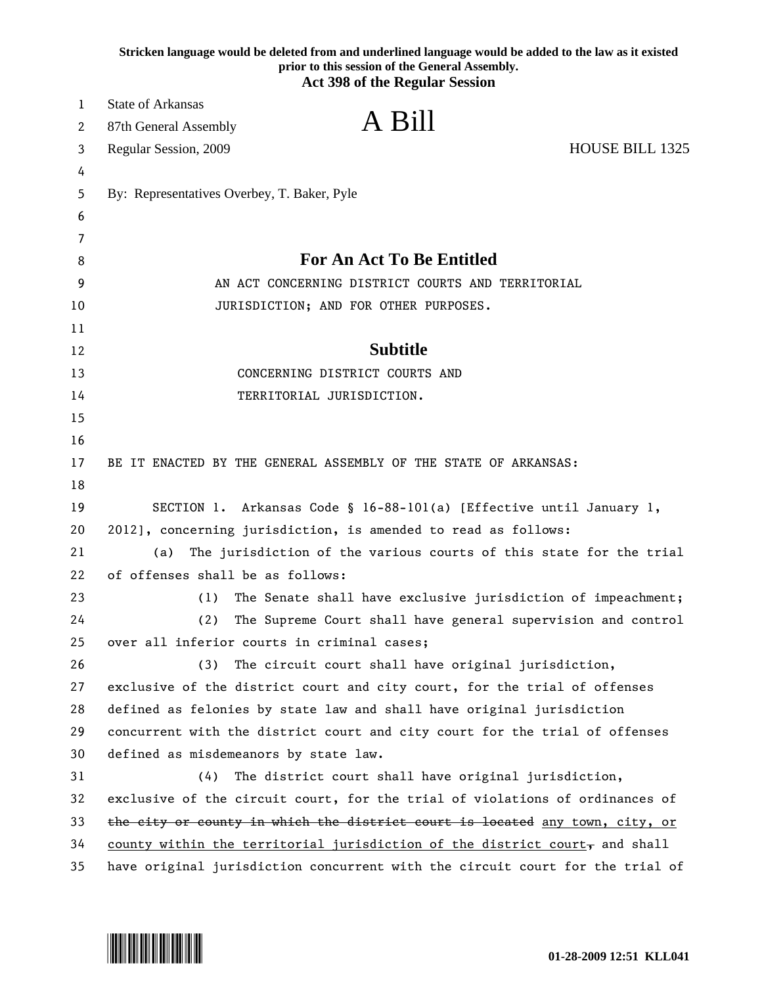|    | Stricken language would be deleted from and underlined language would be added to the law as it existed<br>prior to this session of the General Assembly.<br><b>Act 398 of the Regular Session</b> |  |
|----|----------------------------------------------------------------------------------------------------------------------------------------------------------------------------------------------------|--|
| 1  | State of Arkansas                                                                                                                                                                                  |  |
| 2  | A Bill<br>87th General Assembly                                                                                                                                                                    |  |
| 3  | <b>HOUSE BILL 1325</b><br>Regular Session, 2009                                                                                                                                                    |  |
| 4  |                                                                                                                                                                                                    |  |
| 5  | By: Representatives Overbey, T. Baker, Pyle                                                                                                                                                        |  |
| 6  |                                                                                                                                                                                                    |  |
| 7  |                                                                                                                                                                                                    |  |
| 8  | <b>For An Act To Be Entitled</b>                                                                                                                                                                   |  |
| 9  | AN ACT CONCERNING DISTRICT COURTS AND TERRITORIAL                                                                                                                                                  |  |
| 10 | JURISDICTION; AND FOR OTHER PURPOSES.                                                                                                                                                              |  |
| 11 |                                                                                                                                                                                                    |  |
| 12 | <b>Subtitle</b>                                                                                                                                                                                    |  |
| 13 | CONCERNING DISTRICT COURTS AND                                                                                                                                                                     |  |
| 14 | TERRITORIAL JURISDICTION.                                                                                                                                                                          |  |
| 15 |                                                                                                                                                                                                    |  |
| 16 |                                                                                                                                                                                                    |  |
| 17 | BE IT ENACTED BY THE GENERAL ASSEMBLY OF THE STATE OF ARKANSAS:                                                                                                                                    |  |
| 18 |                                                                                                                                                                                                    |  |
| 19 | SECTION 1. Arkansas Code § 16-88-101(a) [Effective until January 1,                                                                                                                                |  |
| 20 | 2012], concerning jurisdiction, is amended to read as follows:                                                                                                                                     |  |
| 21 | The jurisdiction of the various courts of this state for the trial<br>(a)                                                                                                                          |  |
| 22 | of offenses shall be as follows:                                                                                                                                                                   |  |
| 23 | The Senate shall have exclusive jurisdiction of impeachment;<br>(1)                                                                                                                                |  |
| 24 | The Supreme Court shall have general supervision and control<br>(2)                                                                                                                                |  |
| 25 | over all inferior courts in criminal cases;                                                                                                                                                        |  |
| 26 | (3)<br>The circuit court shall have original jurisdiction,                                                                                                                                         |  |
| 27 | exclusive of the district court and city court, for the trial of offenses                                                                                                                          |  |
| 28 | defined as felonies by state law and shall have original jurisdiction                                                                                                                              |  |
| 29 | concurrent with the district court and city court for the trial of offenses                                                                                                                        |  |
| 30 | defined as misdemeanors by state law.                                                                                                                                                              |  |
| 31 | (4)<br>The district court shall have original jurisdiction,                                                                                                                                        |  |
| 32 | exclusive of the circuit court, for the trial of violations of ordinances of                                                                                                                       |  |
| 33 | the city or county in which the district court is located any town, city, or                                                                                                                       |  |
| 34 | county within the territorial jurisdiction of the district court, and shall                                                                                                                        |  |
| 35 | have original jurisdiction concurrent with the circuit court for the trial of                                                                                                                      |  |